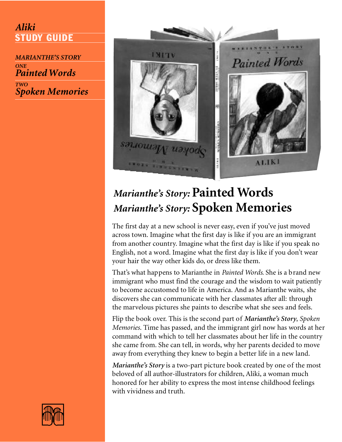### *Aliki*  **STUDY GUIDE**

*MARIANTHE'S STORY ONE Painted Words*

*TWO Spoken Memories*



# *Marianthe's Story:* **Painted Words** *Marianthe's Story:* **Spoken Memories**

The first day at a new school is never easy, even if you've just moved across town. Imagine what the first day is like if you are an immigrant from another country. Imagine what the first day is like if you speak no English, not a word. Imagine what the first day is like if you don't wear your hair the way other kids do, or dress like them.

That's what happens to Marianthe in *Painted Words*. She is a brand new immigrant who must find the courage and the wisdom to wait patiently to become accustomed to life in America. And as Marianthe waits, she discovers she can communicate with her classmates after all: through the marvelous pictures she paints to describe what she sees and feels.

Flip the book over. This is the second part of *Marianthe's Story*, *Spoken Memories*. Time has passed, and the immigrant girl now has words at her command with which to tell her classmates about her life in the country she came from. She can tell, in words, why her parents decided to move away from everything they knew to begin a better life in a new land.

*Marianthe's Story* is a two-part picture book created by one of the most beloved of all author-illustrators for children, Aliki, a woman much honored for her ability to express the most intense childhood feelings with vividness and truth.

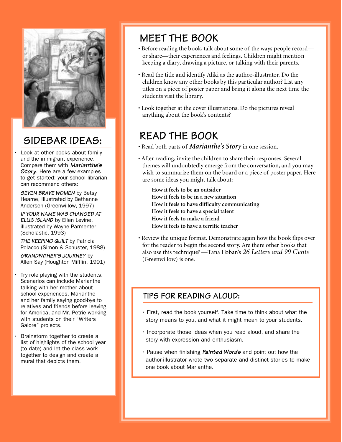

## **SIDEBAR IDEAS:**

Look at other books about family and the immigrant experience. Compare them with **Marianthe's Story**. Here are a few examples to get started; your school librarian can recommend others:

**SEVEN BRAVE WOMEN** by Betsy Hearne, illustrated by Bethanne Andersen (Greenwillow, 1997)

**IF YOUR NAME WAS CHANGED AT ELLIS ISLAND** by Ellen Levine, illustrated by Wayne Parmenter (Scholastic, 1993)

**THE KEEPING QUILT** by Patricia Polacco (Simon & Schuster, 1988)

**GRANDFATHER'S JOURNEY** by Allen Say (Houghton Mifflin, 1991)

- Try role playing with the students. Scenarios can include Marianthe talking with her mother about school experiences, Marianthe and her family saying good-bye to relatives and friends before leaving for America, and Mr. Petrie working with students on their "Writers Galore" projects.
- Brainstorm together to create a list of highlights of the school year (to date) and let the class work together to design and create a mural that depicts them.

## **MEET THE BOOK**

- Before reading the book, talk about some of the ways people record or share—their experiences and feelings. Children might mention keeping a diary, drawing a picture, or talking with their parents.
- Read the title and identify Aliki as the author-illustrator. Do the children know any other books by this particular author? List any titles on a piece of poster paper and bring it along the next time the students visit the library.
- Look together at the cover illustrations. Do the pictures reveal anything about the book's contents?

## **READ THE BOOK**

- Read both parts of *Marianthe's Story* in one session.
- After reading, invite the children to share their responses. Several themes will undoubtedly emerge from the conversation, and you may wish to summarize them on the board or a piece of poster paper. Here are some ideas you might talk about:
	- **How it feels to be an outsider How it feels to be in a new situation How it feels to have difficulty communicating How it feels to have a special talent How it feels to make a friend How it feels to have a terrific teacher**
- Review the unique format. Demonstrate again how the book flips over for the reader to begin the second story. Are there other books that also use this technique? —Tana Hoban's *26 Letters and 99 Cents* (Greenwillow) is one.

### **TIPS FOR READING ALOUD:**

- First, read the book yourself. Take time to think about what the story means to you, and what it might mean to your students.
- Incorporate those ideas when you read aloud, and share the story with expression and enthusiasm.
- Pause when finishing **Painted Words** and point out how the author-illustrator wrote two separate and distinct stories to make one book about Marianthe.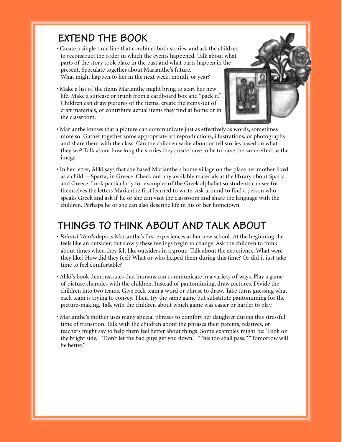## **EXTEND THE BOOK**

- Create a single time line that combines both stories, and ask the children to reconstruct the order in which the events happened. Talk about what parts of the story took place in the past and what parts happen in the present. Speculate together about Marianthe's future. What might happen to her in the next week, month, or year?
- Make a list of the items Marianthe might bring to start her new life. Make a suitcase or trunk from a cardboard box and "pack it." Children can draw pictures of the items, create the items out of craft materials, or contribute actual items they find at home or in the classroom.



- Marianthe knows that a picture can communicate just as effectively as words, sometimes more so. Gather together some appropriate art reproductions, illustrations, or photographs and share them with the class. Can the children write about or tell stories based on what they see? Talk about how long the stories they create have to be to have the same effect as the image.
- In her letter, Aliki says that she based Marianthe's home village on the place her mother lived as a child —Sparta, in Greece. Check out any available materials at the library about Sparta and Greece. Look particularly for examples of the Greek alphabet so students can see for themselves the letters Marianthe first learned to write. Ask around to find a person who speaks Greek and ask if he or she can visit the classroom and share the language with the children. Perhaps he or she can also describe life in his or her hometown.

## **THINGS TO THINK ABOUT AND TALK ABOUT**

- *Painted Words* depicts Marianthe's first experiences at her new school. At the beginning she feels like an outsider, but slowly these feelings begin to change. Ask the children to think about times when they felt like outsiders in a group. Talk about the experience. What were they like? How did they feel? What or who helped them during this time? Or did it just take time to feel comfortable?
- Aliki's book demonstrates that humans can communicate in a variety of ways. Play a game of picture charades with the children. Instead of pantomiming, draw pictures. Divide the children into two teams. Give each team a word or phrase to draw. Take turns guessing what each team is trying to convey. Then, try the same game but substitute pantomiming for the picture-making. Talk with the children about which game was easier or harder to play.
- Marianthe's mother uses many special phrases to comfort her daughter during this stressful time of transition. Talk with the children about the phrases their parents, relatives, or teachers might say to help them feel better about things. Some examples might be:"Look on the bright side," "Don't let the bad guys get you down," "This too shall pass," "Tomorrow will be better."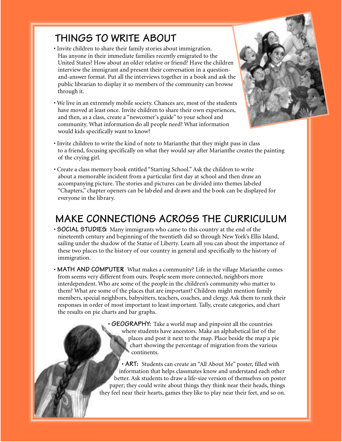## **THINGS TO WRITE ABOUT**

- Invite children to share their family stories about immigration. Has anyone in their immediate families recently emigrated to the United States? How about an older relative or friend? Have the children interview the immigrant and present their conversation in a questionand-answer format. Put all the interviews together in a book and ask the public librarian to display it so members of the community can browse through it.
- We live in an extremely mobile society. Chances are, most of the students have moved at least once. Invite children to share their own experiences, and then, as a class, create a "newcomer's guide" to your school and community. What information do all people need? What information would kids specifically want to know?



- Invite children to write the kind of note to Marianthe that they might pass in class to a friend, focusing specifically on what they would say after Marianthe creates the painting of the crying girl.
- Create a class memory book entitled "Starting School." Ask the children to write about a memorable incident from a particular first day at school and then draw an accompanying picture. The stories and pictures can be divided into themes labeled "Chapters," chapter openers can be labeled and drawn and the book can be displayed for everyone in the library.

### **MAKE CONNECTIONS ACROSS THE CURRICULUM**

- **SOCIAL STUDIES:** Many immigrants who came to this country at the end of the nineteenth century and beginning of the twentieth did so through New York's Ellis Island, sailing under the shadow of the Statue of Liberty. Learn all you can about the importance of these two places to the history of our country in general and specifically to the history of immigration.
- MATH AND COMPUTER What makes a community? Life in the village Marianthe comes from seems very different from ours. People seem more connected, neighbors more interdependent. Who are some of the people in the children's community who matter to them? What are some of the places that are important? Children might mention family members, special neighbors, babysitters, teachers, coaches, and clergy. Ask them to rank their responses in order of most important to least important. Tally, create categories, and chart the results on pie charts and bar graphs.

• **GEOGRAPHY:** Take a world map and pinpoint all the countries where students have ancestors. Make an alphabetical list of the places and post it next to the map. Place beside the map a pie chart showing the percentage of migration from the various continents.

• **ART:** Students can create an "All About Me" poster, filled with information that helps classmates know and understand each other better. Ask students to draw a life-size version of themselves on poster paper; they could write about things they think near their heads, things they feel near their hearts, games they like to play near their feet, and so on.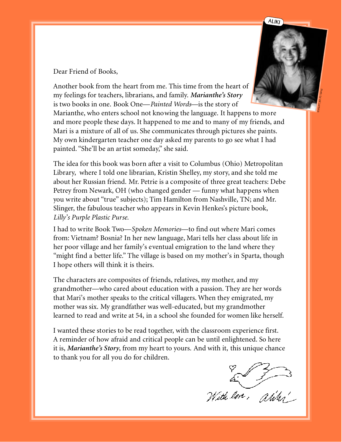



Dear Friend of Books,

Another book from the heart from me. This time from the heart of my feelings for teachers, librarians, and family. *Marianthe's Story* is two books in one. Book One—*Painted Words*—is the story of Marianthe, who enters school not knowing the language. It happens to more and more people these days. It happened to me and to many of my friends, and Mari is a mixture of all of us. She communicates through pictures she paints. My own kindergarten teacher one day asked my parents to go see what I had

painted. "She'll be an artist someday," she said.

The idea for this book was born after a visit to Columbus (Ohio) Metropolitan Library, where I told one librarian, Kristin Shelley, my story, and she told me about her Russian friend. Mr. Petrie is a composite of three great teachers: Debe Petrey from Newark, OH (who changed gender — funny what happens when you write about "true" subjects); Tim Hamilton from Nashville, TN; and Mr. Slinger, the fabulous teacher who appears in Kevin Henkes's picture book, *Lilly's Purple Plastic Purse.*

I had to write Book Two—*Spoken Memories*—to find out where Mari comes from: Vietnam? Bosnia? In her new language, Mari tells her class about life in her poor village and her family's eventual emigration to the land where they "might find a better life." The village is based on my mother's in Sparta, though I hope others will think it is theirs.

The characters are composites of friends, relatives, my mother, and my grandmother—who cared about education with a passion. They are her words that Mari's mother speaks to the critical villagers. When they emigrated, my mother was six. My grandfather was well-educated, but my grandmother learned to read and write at 54, in a school she founded for women like herself.

I wanted these stories to be read together, with the classroom experience first. A reminder of how afraid and critical people can be until enlightened. So here it is, *Marianthe's Story*, from my heart to yours. And with it, this unique chance to thank you for all you do for children.

a 3 3 3